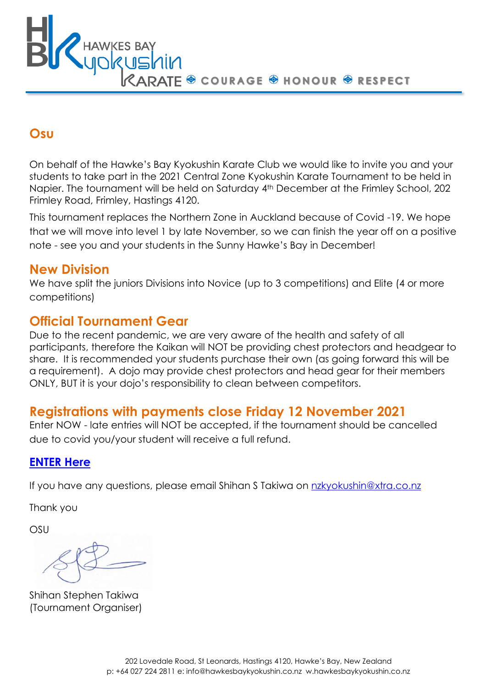**F © COURAGE @ HONOUR @ RESPECT** 

## **Osu**

On behalf of the Hawke's Bay Kyokushin Karate Club we would like to invite you and your students to take part in the 2021 Central Zone Kyokushin Karate Tournament to be held in Napier. The tournament will be held on Saturday 4th December at the Frimley School, 202 Frimley Road, Frimley, Hastings 4120.

This tournament replaces the Northern Zone in Auckland because of Covid -19. We hope that we will move into level 1 by late November, so we can finish the year off on a positive note - see you and your students in the Sunny Hawke's Bay in December!

#### **New Division**

We have split the juniors Divisions into Novice (up to 3 competitions) and Elite (4 or more competitions)

# **Official Tournament Gear**

Due to the recent pandemic, we are very aware of the health and safety of all participants, therefore the Kaikan will NOT be providing chest protectors and headgear to share. It is recommended your students purchase their own (as going forward this will be a requirement). A dojo may provide chest protectors and head gear for their members ONLY, BUT it is your dojo's responsibility to clean between competitors.

# **Registrations with payments close Friday 12 November 2021**

Enter NOW - late entries will NOT be accepted, if the tournament should be cancelled due to covid you/your student will receive a full refund.

#### **[ENTER](https://forms.gle/D6oUzfRUURo636U5A) Here**

If you have any questions, please email Shihan S Takiwa on [nzkyokushin@xtra.co.nz](mailto:nzkyokushin@xtra.co.nz)

Thank you

OSU

Shihan Stephen Takiwa (Tournament Organiser)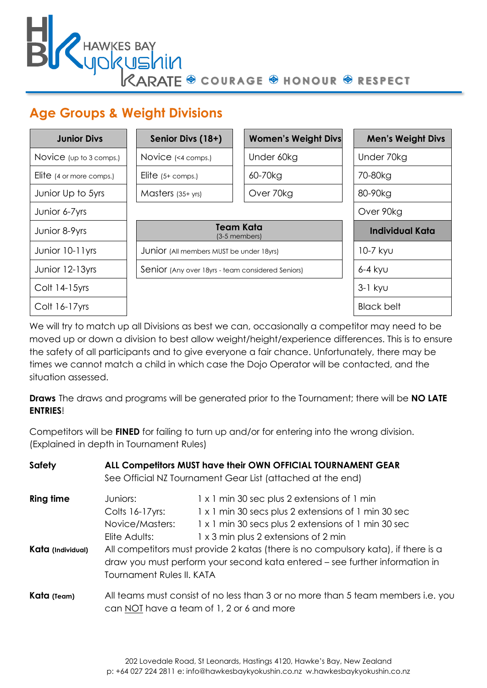A<br>E ® courage ® honour ® respect

# **Age Groups & Weight Divisions**

**HAWKES BAY<br>MORUS**MIM

| <b>Junior Divs</b>       | Senior Divs (18+)                                 | <b>Women's Weight Divs</b> | <b>Men's Weight Divs</b> |
|--------------------------|---------------------------------------------------|----------------------------|--------------------------|
| Novice (up to 3 comps.)  | Novice (<4 comps.)                                | Under 60kg                 | Under 70kg               |
| Elite (4 or more comps.) | Elite $(5+$ comps.)                               | 60-70kg                    | 70-80kg                  |
| Junior Up to 5yrs        | Masters $(35+yrs)$                                | Over 70kg                  | 80-90kg                  |
| Junior 6-7yrs            |                                                   |                            | Over 90kg                |
| Junior 8-9yrs            | <b>Team Kata</b><br>(3-5 members)                 |                            | Individual Kata          |
| Junior 10-11yrs          | JUNIOF (All members MUST be under 18yrs)          |                            | 10-7 kyu                 |
| Junior 12-13yrs          | Senior (Any over 18yrs - team considered Seniors) |                            | $6-4$ kyu                |
| Colt 14-15yrs            |                                                   |                            | $3-1$ kyu                |
| $Colt 16-17yrs$          |                                                   |                            | Black belt               |

We will try to match up all Divisions as best we can, occasionally a competitor may need to be moved up or down a division to best allow weight/height/experience differences. This is to ensure the safety of all participants and to give everyone a fair chance. Unfortunately, there may be times we cannot match a child in which case the Dojo Operator will be contacted, and the situation assessed.

**Draws** The draws and programs will be generated prior to the Tournament; there will be **NO LATE ENTRIES**!

Competitors will be **FINED** for failing to turn up and/or for entering into the wrong division. (Explained in depth in Tournament Rules)

| <b>Safety</b>     | ALL Competitors MUST have their OWN OFFICIAL TOURNAMENT GEAR<br>See Official NZ Tournament Gear List (attached at the end)                                                                                                                                                                                                              |                                                                                                    |  |
|-------------------|-----------------------------------------------------------------------------------------------------------------------------------------------------------------------------------------------------------------------------------------------------------------------------------------------------------------------------------------|----------------------------------------------------------------------------------------------------|--|
| <b>Ring time</b>  | Juniors:<br>Colts 16-17 yrs:                                                                                                                                                                                                                                                                                                            | 1 x 1 min 30 sec plus 2 extensions of 1 min<br>1 x 1 min 30 secs plus 2 extensions of 1 min 30 sec |  |
| Kata (Individual) | Novice/Masters:<br>1 x 1 min 30 secs plus 2 extensions of 1 min 30 sec<br>1 x 3 min plus 2 extensions of 2 min<br>Elite Adults:<br>All competitors must provide 2 katas (there is no compulsory kata), if there is a<br>draw you must perform your second kata entered – see further information in<br><b>Tournament Rules II, KATA</b> |                                                                                                    |  |
| Kata (Team)       | All teams must consist of no less than 3 or no more than 5 team members i.e. you<br>can NOT have a team of 1, 2 or 6 and more                                                                                                                                                                                                           |                                                                                                    |  |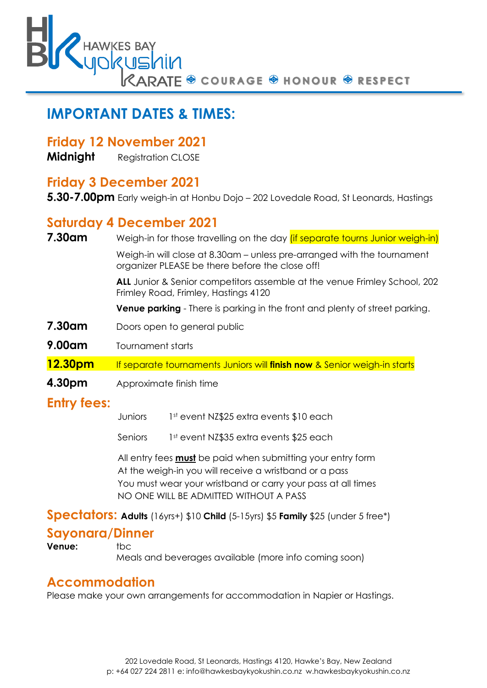O COURAGE O HONOUR O RESPECT

# **IMPORTANT DATES & TIMES:**

#### **Friday 12 November 2021**

**Midnight** Registration CLOSE

#### **Friday 3 December 2021**

**5.30-7.00pm** Early weigh-in at Honbu Dojo – 202 Lovedale Road, St Leonards, Hastings

#### **Saturday 4 December 2021**

**7.30am** Weigh-in for those travelling on the day *(if separate tourns Junior weigh-in)* 

Weigh-in will close at 8.30am – unless pre-arranged with the tournament organizer PLEASE be there before the close off!

**ALL** Junior & Senior competitors assemble at the venue Frimley School, 202 Frimley Road, Frimley, Hastings 4120

**Venue parking** - There is parking in the front and plenty of street parking.

- **7.30am** Doors open to general public
- **9.00am** Tournament starts

**12.30pm** If separate tournaments Juniors will **finish now** & Senior weigh-in starts

**4.30pm** Approximate finish time

## **Entry fees:**

Juniors 1st event NZ\$25 extra events \$10 each

Seniors 1st event NZ\$35 extra events \$25 each

All entry fees **must** be paid when submitting your entry form At the weigh-in you will receive a wristband or a pass You must wear your wristband or carry your pass at all times NO ONE WILL BE ADMITTED WITHOUT A PASS

**Spectators: Adults** (16yrs+) \$10 **Child** (5-15yrs) \$5 **Family** \$25 (under 5 free\*)

## **Sayonara/Dinner**

**Venue:** tbc

Meals and beverages available (more info coming soon)

#### **Accommodation**

Please make your own arrangements for accommodation in Napier or Hastings.